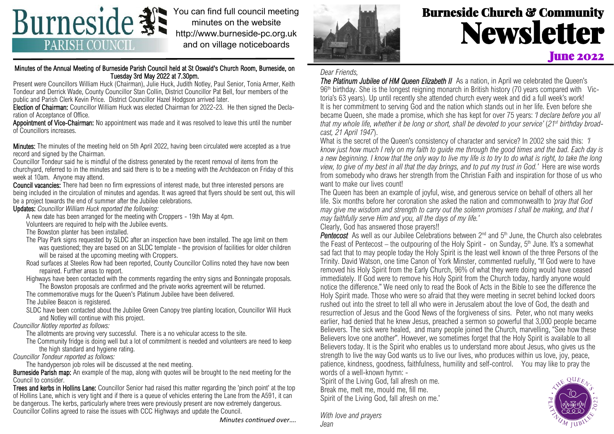

You can find full council meeting minutes on the website http://www.burneside-pc.org.uk and on village noticeboards

### Minutes of the Annual Meeting of Burneside Parish Council held at St Oswald's Church Room, Burneside, on Tuesday 3rd May 2022 at 7.30pm.

Present were Councillors William Huck (Chairman), Julie Huck, Judith Notley, Paul Senior, Tonia Armer, Keith Tondeur and Derrick Wade, County Councillor Stan Collin, District Councillor Pat Bell, four members of the public and Parish Clerk Kevin Price. District Councillor Hazel Hodgson arrived later.

Election of Chairman: Councillor William Huck was elected Chairman for 2022-23. He then signed the Declaration of Acceptance of Office.

Appointment of Vice-Chairman: No appointment was made and it was resolved to leave this until the number of Councillors increases.

Minutes: The minutes of the meeting held on 5th April 2022, having been circulated were accepted as a true record and signed by the Chairman.

Councillor Tondeur said he is mindful of the distress generated by the recent removal of items from the churchyard, referred to in the minutes and said there is to be a meeting with the Archdeacon on Friday of this week at 10am. Anyone may attend.

Council vacancies: There had been no firm expressions of interest made, but three interested persons are being included in the circulation of minutes and agendas. It was agreed that flyers should be sent out, this will be a project towards the end of summer after the Jubilee celebrations.

Updates: *Councillor William Huck reported the following:*

A new date has been arranged for the meeting with Croppers - 19th May at 4pm.

Volunteers are required to help with the Jubilee events.

The Bowston planter has been installed.

The Play Park signs requested by SLDC after an inspection have been installed. The age limit on them was questioned; they are based on an SLDC template - the provision of facilities for older children will be raised at the upcoming meeting with Croppers.

Road surfaces at Steeles Row had been reported, County Councillor Collins noted they have now been repaired. Further areas to report.

Highways have been contacted with the comments regarding the entry signs and Bonningate proposals. The Bowston proposals are confirmed and the private works agreement will be returned.

The commemorative mugs for the Queen's Platinum Jubilee have been delivered.

The Jubilee Beacon is registered.

SLDC have been contacted about the Jubilee Green Canopy tree planting location, Councillor Will Huck and Notley will continue with this project.

*Councillor Notley reported as follows:*

The allotments are proving very successful. There is a no vehicular access to the site.

The Community fridge is doing well but a lot of commitment is needed and volunteers are need to keep the high standard and hygiene rating.

*Councillor Tondeur reported as follows:*

The handyperson job roles will be discussed at the next meeting.

Burneside Parish map: An example of the map, along with quotes will be brought to the next meeting for the Council to consider.

Trees and kerbs in Hollins Lane: Councillor Senior had raised this matter regarding the 'pinch point' at the top of Hollins Lane, which is very tight and if there is a queue of vehicles entering the Lane from the A591, it can be dangerous. The kerbs, particularly where trees were previously present are now extremely dangerous. Councillor Collins agreed to raise the issues with CCC Highways and update the Council.

*Minutes continued over….*



# Burneside Church & Community Newsletter **June 2022**

## *Dear Friends,*

**The Platinum Jubilee of HM Queen Elizabeth II** As a nation, in April we celebrated the Queen's  $96<sup>th</sup>$  birthday. She is the longest reigning monarch in British history (70 years compared with Victoria's 63 years). Up until recently she attended church every week and did a full week's work! It is her commitment to serving God and the nation which stands out in her life. Even before she became Queen, she made a promise, which she has kept for over 75 years: *'I declare before you all that my whole life, whether it be long or short, shall be devoted to your service'* (*21st birthday broadcast, 21 April 1947*).

What is the secret of the Queen's consistency of character and service? In 2002 she said this: *'I know just how much I rely on my faith to guide me through the good times and the bad. Each day is a new beginning. I know that the only way to live my life is to try to do what is right, to take the long view, to give of my best in all that the day brings, and to put my trust in God.'* Here are wise words from somebody who draws her strength from the Christian Faith and inspiration for those of us who want to make our lives count!

The Queen has been an example of joyful, wise, and generous service on behalf of others all her life. Six months before her coronation she asked the nation and commonwealth to *'pray that God may give me wisdom and strength to carry out the solemn promises I shall be making, and that I may faithfully serve Him and you, all the days of my life.'*

Clearly, God has answered those prayers!!

**Pentecost** As well as our Jubilee Celebrations between 2<sup>nd</sup> and 5<sup>th</sup> June, the Church also celebrates the Feast of Pentecost – the outpouring of the Holy Spirit - on Sunday,  $5<sup>th</sup>$  June. It's a somewhat sad fact that to may people today the Holy Spirit is the least well known of the three Persons of the Trinity. David Watson, one time Canon of York Minster, commented ruefully, "If God were to have removed his Holy Spirit from the Early Church, 96% of what they were doing would have ceased immediately. If God were to remove his Holy Spirit from the Church today, hardly anyone would notice the difference." We need only to read the Book of Acts in the Bible to see the difference the Holy Spirit made. Those who were so afraid that they were meeting in secret behind locked doors rushed out into the street to tell all who were in Jerusalem about the love of God, the death and resurrection of Jesus and the Good News of the forgiveness of sins. Peter, who not many weeks earlier, had denied that he knew Jesus, preached a sermon so powerful that 3,000 people became Believers. The sick were healed, and many people joined the Church, marvelling, "See how these Believers love one another". However, we sometimes forget that the Holy Spirit is available to all Believers today. It is the Spirit who enables us to understand more about Jesus, who gives us the strength to live the way God wants us to live our lives, who produces within us love, joy, peace, patience, kindness, goodness, faithfulness, humility and self-control. You may like to pray the words of a well-known hymn: -

'Spirit of the Living God, fall afresh on me. Break me, melt me, mould me, fill me. Spirit of the Living God, fall afresh on me.'

*With love and prayers Jean*